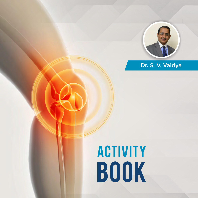

### Dr. S. V. Vaidya

# **ACTIVITY** Book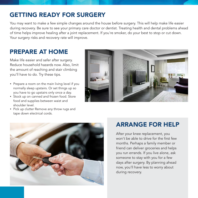# GETTING READY FOR SURGERY

You may want to make a few simple changes around the house before surgery. This will help make life easier during recovery. Be sure to see your primary care doctor or dentist. Treating health and dental problems ahead of time helps improve healing after a joint replacement. If you're smoker, do your best to stop or cut down. Your surgery risks and recovery rate will improve.

### PREPARE AT HOME

Make life easier and safer after surgery. Reduce household hazards now. Also, limit the amount of reaching and stair climbing you'll have to do. Try these tips.

- Prepare a room on the main living level if you normally sleep upstairs. Or set things up so you have to go upstairs only once a day.
- Stock up on canned and frozen food. Store food and supplies between waist and shoulder level.
- Pick up clutter Remove any throw rugs and tape down electrical cords.





#### ARRANGE FOR HELP

After your knee replacement, you won't be able to drive for the first few months. Perhaps a family member or friend can deliver groceries and helps you run errands. If you live alone, ask someone to stay with you for a few days after surgery. By planning ahead now, you'll have less to worry about during recovery.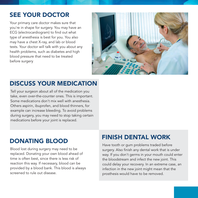# SEE YOUR DOCTOR

Your primary care doctor makes sure that you're in shape for surgery. You may have an ECG (electrocardiogram) to find out what type of anesthesia is best for you. You also may have a chest X-ray, and lab or blood tests. Your doctor will talk with you about any health problems, such as diabetes and high blood pressure that need to be treated before surgery



# DISCUSS YOUR MEDICATION

Tell your surgeon about all of the medication you take, even over-the-counter ones. This is important. Some medications don't mix well with anesthesia. Others aspirin, ibuprofen, and blood thinners, for example can increase bleeding. To avoid problems during surgery, you may need to stop taking certain medications before your joint is replaced.

Blood lost during surgery may need to be replaced. Donating your own blood ahead of time is often best, since there is less risk of reaction this way. If necessary, blood can be provided by a blood bank. This blood is always screened to rule out disease.

# DONATING BLOOD FINISH DENTAL WORK

Have tooth or gum problems traded before surgery. Also finish any dental work that is under way. If you don't germs in your mouth could enter the bloodstream and infect the new joint. This could delay your recovery. In an extreme case, an infection in the new joint might mean that the prosthesis would have to be removed.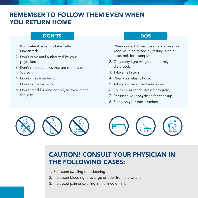# REMEMBER TO FOLLOW THEM EVEN WHEN YOU RETURN HOME

#### DON'TS DOS

- 1. It is preferable not to take baths if unassisted;
- 2. Don't drive until authorized by your physician;
- 3. Don't sit on surfaces that are too low or too soft;
- 4. Don't cross your legs;
- 5. Don't do heavy work;
- 6. Don't stand for long period, to avoid tiring the joint.

- 1. When seated, to reduce or avoid swelling, keep your leg raised by resting it on a footstool, for example;
- 2. Only carry light weights, uniformly disturbed;
- 3. Take small steps;
- 4. Wear your elastic hose;
- 5. Take your prescribed medicines;
- 6. Follow your rehabilitation program;
- 7. Return to your physician for checkup;
- 8. Sleep on your back (supine)



# CAUTION! CONSULT YOUR PHYSICIAN IN THE FOLLOWING CASES:

- 1. Persistent swelling or reddening;
- 2. Increased bleeding, discharge or odor from the wound;
- 3. Increased pain or swelling in the knee or limb;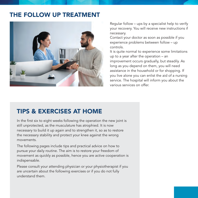## THE FOLLOW UP TREATMENT



Regular follow – ups by a specialist help to verify your recovery. You will receive new instructions if necessary.

Contact your doctor as soon as possible if you experience problems between follow – up controls.

It is quite normal to experience some limitations up to a year after the operation – an improvement occurs gradually, but steadily. As long as you depend on them, you will need assistance in the household or for shopping. If you live alone you can enlist the aid of a nursing service. The hospital will inform you about the various services on offer.

#### TIPS & EXERCISES AT HOME

In the first six to eight weeks following the operation the new joint is still unprotected, as the musculature has atrophied. It is now necessary to build it up again and to strengthen it, so as to restore the necessary stability and protect your knee against the wrong movements.

The following pages include tips and practical advice on how to pursue your daily routine. The aim is to restore your freedom of movement as quickly as possible, hence you are active cooperation is indispensable.

Please consult your attending physician or your physiotherapist if you are uncertain about the following exercises or if you do not fully understand them.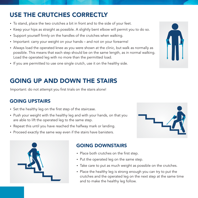# USE THE CRUTCHES CORRECTLY

- To stand, place the two crutches a bit in front and to the side of your feet.
- Keep your hips as straight as possible. A slightly bent elbow will permit you to do so.
- Support yourself firmly on the handles of the crutches when walking.
- Important: carry your weight on your hands and not on your forearms!
- Always load the operated knee as you were shown at the clinic, but walk as normally as possible. This means that each step should be on the same length, as in normal walking. Load the operated leg with no more than the permitted load.
- If you are permitted to use one single crutch, use it on the healthy side.

# GOING UP AND DOWN THE STAIRS

Important: do not attempt you first trials on the stairs alone!

#### GOING UPSTAIRS

- Set the healthy leg on the first step of the staircase.
- Push your weight with the healthy leg and with your hands, on that you are able to lift the operated leg to the same step.
- Repeat this until you have reached the halfway mark or landing.
- Proceed exactly the same way even if the stairs have banisters.





#### GOING DOWNSTAIRS

- Place both crutches on the first step.
- Put the operated leg on the same step.
- Take care to put as much weight as possible on the crutches.
- Place the healthy leg is strong enough you can try to put the crutches and the operated leg on the next step at the same time and to make the healthy leg follow.

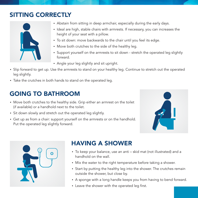# SITTING CORRECTLY



- Abstain from sitting in deep armchair, especially during the early days.
- Ideal are high, stable chairs with armrests. If necessary, you can increases the height of your seat with a pillow.
- To sit down: move backwards to the chair until you feel its edge.
- Move both crutches to the side of the healthy leg.
- Support yourself on the armrests to sit down stretch the operated leg slightly forward.
- Angle your leg slightly and sit upright.
- Slip forward to get up. Use the armrests to stand on your healthy leg. Continue to stretch out the operated leg slightly.
- Take the crutches in both hands to stand on the operated leg.

# GOING TO BATHROOM

- Move both crutches to the healthy side. Grip either an armrest on the toilet (if available) or a handhold next to the toilet.
- Sit down slowly and stretch out the operated leg slightly.
- Get up as from a chair: support yourself on the armrests or on the handhold. Put the operated leg slightly forward.





# HAVING A SHOWER

- To keep your balance, use an anti skid mat (not illustrated) and a handhold on the wall.
- Mix the water to the right temperature before taking a shower.
- Start by putting the healthy leg into the shower. The crutches remain outside the shower, but close by.
- A sponge with a long handle keeps you from having to bend forward.
- Leave the shower with the operated leg first.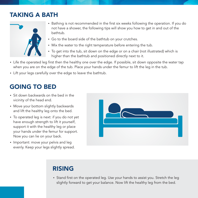# TAKING A BATH



- Bathing is not recommended in the first six weeks following the operation. If you do not have a shower, the following tips will show you how to get in and out of the bathtub.
- Go to the board side of the bathtub on your crutches.
- Mix the water to the right temperature before entering the tub.
- To get into the tub, sit down on the edge or on a chair (not illustrated) which is higher than the bathtub and positioned directly next to it.
- Life the operated leg first then the healthy one over the edge. If possible, sit down opposite the water tap when you are on the edge of the tub. Place your hands under the femur to lift the leg in the tub.
- Lift your legs carefully over the edge to leave the bathtub.

# GOING TO BED

- Sit down backwards on the bed in the vicinity of the head end.
- Move your bottom slightly backwards and lift the healthy leg onto the bed.
- To operated leg is next: if you do not yet have enough strength to lift it yourself, support it with the healthy leg or place your hands under the femur for support. Now you can lie on your back.
- Important: move your pelvis and leg evenly. Keep your legs slightly spread.



# RISING

• Stand first on the operated leg. Use your hands to assist you. Stretch the leg slightly forward to get your balance. Now lift the healthy leg from the bed.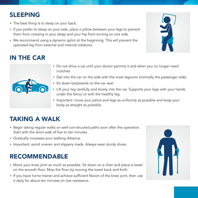# SLEEPING

- The best thing is to sleep on your back.
- If you prefer to sleep on your side, place a pillow between your legs to prevent them from crossing in your sleep and your hip from turning on one side.
- We recommend using a dynamic splint at the beginning. This will prevent the operated leg from external and internal rotations.



# IN THE CAR



- Do not drive a car until your doctor permits it and when you no longer need crutches.
- Get into the car on the side with the most legroom (normally the passenger side).
- Sit down backwards on the car seat.
- Lift your leg carefully and slowly into the car. Supports your legs with your hands under the femur or with the healthy leg.
- Important: move your pelvis and legs as uniformly as possible and keep your body as straight as possible.

# TAKING A WALK

- Begin taking regular walks on well-con-structed paths soon after the operation. Start with the short walk of five to ten minutes.
- Gradually increases your walking distance.
- Important: avoid uneven and slippery roads. Always wear sturdy shoes.

# RECOMMENDABLE

- Move your knee joint as much as possible. Sit down on a chair and place a towel on the smooth floor. Mop the floor by moving the towel back and forth.
- If you have home trainer and achieve sufficient flexion of the knee joint, then use it daily for about ten minutes on low resistance.